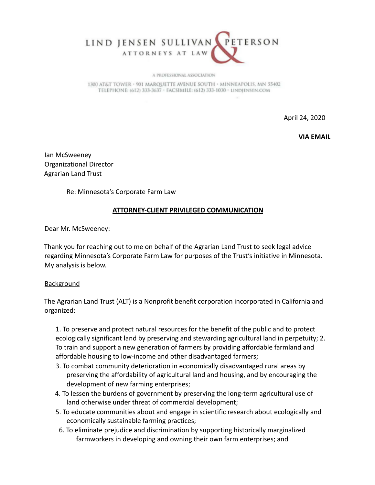

A PROFESSIONAL ASSOCIATION

1300 AT&T TOWER - 901 MARQUETTE AVENUE SOUTH - MINNEAPOLIS. MN 55402 TELEPHONE: (612) 333-3637 · FACSIMILE: (612) 333-1030 · LINDJENSEN.COM

April 24, 2020

**VIA EMAIL**

Ian McSweeney Organizational Director Agrarian Land Trust

Re: Minnesota's Corporate Farm Law

#### **ATTORNEY-CLIENT PRIVILEGED COMMUNICATION**

Dear Mr. McSweeney:

Thank you for reaching out to me on behalf of the Agrarian Land Trust to seek legal advice regarding Minnesota's Corporate Farm Law for purposes of the Trust's initiative in Minnesota. My analysis is below.

#### Background

The Agrarian Land Trust (ALT) is a Nonprofit benefit corporation incorporated in California and organized:

1. To preserve and protect natural resources for the benefit of the public and to protect ecologically significant land by preserving and stewarding agricultural land in perpetuity; 2. To train and support a new generation of farmers by providing affordable farmland and affordable housing to low-income and other disadvantaged farmers;

- 3. To combat community deterioration in economically disadvantaged rural areas by preserving the affordability of agricultural land and housing, and by encouraging the development of new farming enterprises;
- 4. To lessen the burdens of government by preserving the long-term agricultural use of land otherwise under threat of commercial development;
- 5. To educate communities about and engage in scientific research about ecologically and economically sustainable farming practices;
- 6. To eliminate prejudice and discrimination by supporting historically marginalized farmworkers in developing and owning their own farm enterprises; and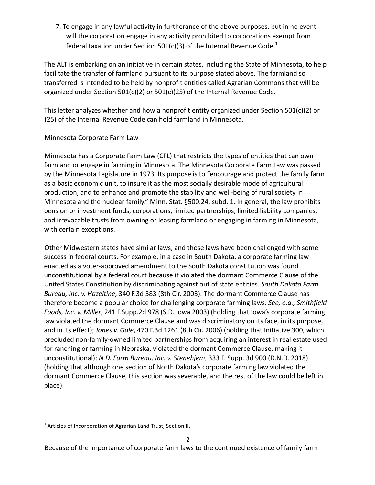7. To engage in any lawful activity in furtherance of the above purposes, but in no event will the corporation engage in any activity prohibited to corporations exempt from federal taxation under Section 501(c)(3) of the Internal Revenue Code.<sup>1</sup>

The ALT is embarking on an initiative in certain states, including the State of Minnesota, to help facilitate the transfer of farmland pursuant to its purpose stated above. The farmland so transferred is intended to be held by nonprofit entities called Agrarian Commons that will be organized under Section 501(c)(2) or 501(c)(25) of the Internal Revenue Code.

This letter analyzes whether and how a nonprofit entity organized under Section 501(c)(2) or (25) of the Internal Revenue Code can hold farmland in Minnesota.

# Minnesota Corporate Farm Law

Minnesota has a Corporate Farm Law (CFL) that restricts the types of entities that can own farmland or engage in farming in Minnesota. The Minnesota Corporate Farm Law was passed by the Minnesota Legislature in 1973. Its purpose is to "encourage and protect the family farm as a basic economic unit, to insure it as the most socially desirable mode of agricultural production, and to enhance and promote the stability and well-being of rural society in Minnesota and the nuclear family." Minn. Stat. §500.24, subd. 1. In general, the law prohibits pension or investment funds, corporations, limited partnerships, limited liability companies, and irrevocable trusts from owning or leasing farmland or engaging in farming in Minnesota, with certain exceptions.

Other Midwestern states have similar laws, and those laws have been challenged with some success in federal courts. For example, in a case in South Dakota, a corporate farming law enacted as a voter-approved amendment to the South Dakota constitution was found unconstitutional by a federal court because it violated the dormant Commerce Clause of the United States Constitution by discriminating against out of state entities. *South Dakota Farm Bureau, Inc. v. Hazeltine*, 340 F.3d 583 (8th Cir. 2003). The dormant Commerce Clause has therefore become a popular choice for challenging corporate farming laws. *See, e.g., Smithfield Foods, Inc. v. Miller*, 241 F.Supp.2d 978 (S.D. Iowa 2003) (holding that Iowa's corporate farming law violated the dormant Commerce Clause and was discriminatory on its face, in its purpose, and in its effect); *Jones v. Gale*, 470 F.3d 1261 (8th Cir. 2006) (holding that Initiative 300, which precluded non-family-owned limited partnerships from acquiring an interest in real estate used for ranching or farming in Nebraska, violated the dormant Commerce Clause, making it unconstitutional); *N.D. Farm Bureau, Inc. v. Stenehjem*, 333 F. Supp. 3d 900 (D.N.D. 2018) (holding that although one section of North Dakota's corporate farming law violated the dormant Commerce Clause, this section was severable, and the rest of the law could be left in place).

<sup>&</sup>lt;sup>1</sup> Articles of Incorporation of Agrarian Land Trust, Section II.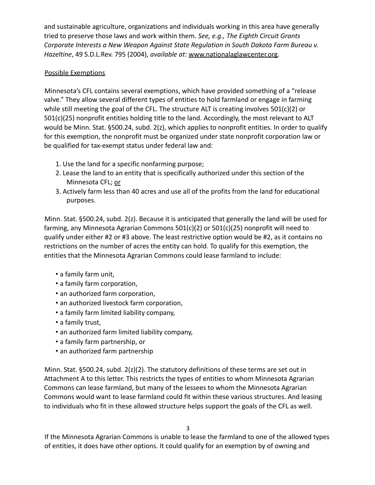and sustainable agriculture, organizations and individuals working in this area have generally tried to preserve those laws and work within them. *See, e.g., The Eighth Circuit Grants Corporate Interests a New Weapon Against State Regulation in South Dakota Farm Bureau v. Hazeltine*, 49 S.D.L.Rev. 795 (2004), *available at*: www.nationalaglawcenter.org.

# Possible Exemptions

Minnesota's CFL contains several exemptions, which have provided something of a "release valve." They allow several different types of entities to hold farmland or engage in farming while still meeting the goal of the CFL. The structure ALT is creating involves 501(c)(2) or 501(c)(25) nonprofit entities holding title to the land. Accordingly, the most relevant to ALT would be Minn. Stat. §500.24, subd. 2(z), which applies to nonprofit entities. In order to qualify for this exemption, the nonprofit must be organized under state nonprofit corporation law or be qualified for tax-exempt status under federal law and:

- 1. Use the land for a specific nonfarming purpose;
- 2. Lease the land to an entity that is specifically authorized under this section of the Minnesota CFL; or
- 3. Actively farm less than 40 acres and use all of the profits from the land for educational purposes.

Minn. Stat. §500.24, subd. 2(z). Because it is anticipated that generally the land will be used for farming, any Minnesota Agrarian Commons 501(c)(2) or 501(c)(25) nonprofit will need to qualify under either #2 or #3 above. The least restrictive option would be #2, as it contains no restrictions on the number of acres the entity can hold. To qualify for this exemption, the entities that the Minnesota Agrarian Commons could lease farmland to include:

- a family farm unit,
- a family farm corporation,
- an authorized farm corporation,
- an authorized livestock farm corporation,
- a family farm limited liability company,
- a family trust,
- an authorized farm limited liability company,
- a family farm partnership, or
- an authorized farm partnership

Minn. Stat. §500.24, subd.  $2(z)(2)$ . The statutory definitions of these terms are set out in Attachment A to this letter. This restricts the types of entities to whom Minnesota Agrarian Commons can lease farmland, but many of the lessees to whom the Minnesota Agrarian Commons would want to lease farmland could fit within these various structures. And leasing to individuals who fit in these allowed structure helps support the goals of the CFL as well.

If the Minnesota Agrarian Commons is unable to lease the farmland to one of the allowed types of entities, it does have other options. It could qualify for an exemption by of owning and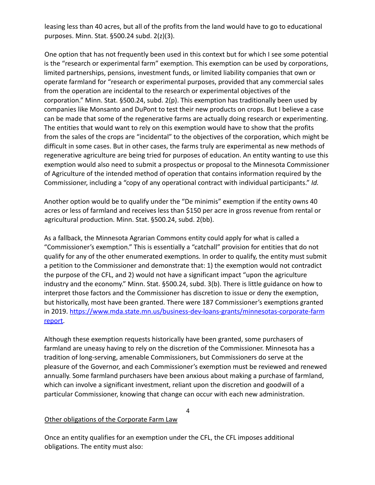leasing less than 40 acres, but all of the profits from the land would have to go to educational purposes. Minn. Stat. §500.24 subd. 2(z)(3).

One option that has not frequently been used in this context but for which I see some potential is the "research or experimental farm" exemption. This exemption can be used by corporations, limited partnerships, pensions, investment funds, or limited liability companies that own or operate farmland for "research or experimental purposes, provided that any commercial sales from the operation are incidental to the research or experimental objectives of the corporation." Minn. Stat. §500.24, subd. 2(p). This exemption has traditionally been used by companies like Monsanto and DuPont to test their new products on crops. But I believe a case can be made that some of the regenerative farms are actually doing research or experimenting. The entities that would want to rely on this exemption would have to show that the profits from the sales of the crops are "incidental" to the objectives of the corporation, which might be difficult in some cases. But in other cases, the farms truly are experimental as new methods of regenerative agriculture are being tried for purposes of education. An entity wanting to use this exemption would also need to submit a prospectus or proposal to the Minnesota Commissioner of Agriculture of the intended method of operation that contains information required by the Commissioner, including a "copy of any operational contract with individual participants." *Id.*

Another option would be to qualify under the "De minimis" exemption if the entity owns 40 acres or less of farmland and receives less than \$150 per acre in gross revenue from rental or agricultural production. Minn. Stat. §500.24, subd. 2(bb).

As a fallback, the Minnesota Agrarian Commons entity could apply for what is called a "Commissioner's exemption." This is essentially a "catchall" provision for entities that do not qualify for any of the other enumerated exemptions. In order to qualify, the entity must submit a petition to the Commissioner and demonstrate that: 1) the exemption would not contradict the purpose of the CFL, and 2) would not have a significant impact "upon the agriculture industry and the economy." Minn. Stat. §500.24, subd. 3(b). There is little guidance on how to interpret those factors and the Commissioner has discretion to issue or deny the exemption, but historically, most have been granted. There were 187 Commissioner's exemptions granted in 2019. https://www.mda.state.mn.us/business-dev-loans-grants/minnesotas-corporate-farm report.

Although these exemption requests historically have been granted, some purchasers of farmland are uneasy having to rely on the discretion of the Commissioner. Minnesota has a tradition of long-serving, amenable Commissioners, but Commissioners do serve at the pleasure of the Governor, and each Commissioner's exemption must be reviewed and renewed annually. Some farmland purchasers have been anxious about making a purchase of farmland, which can involve a significant investment, reliant upon the discretion and goodwill of a particular Commissioner, knowing that change can occur with each new administration.

4

# Other obligations of the Corporate Farm Law

Once an entity qualifies for an exemption under the CFL, the CFL imposes additional obligations. The entity must also: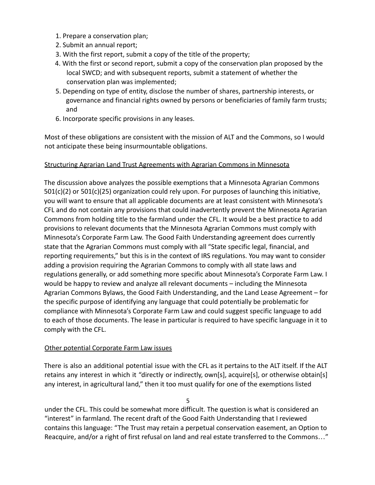- 1. Prepare a conservation plan;
- 2. Submit an annual report;
- 3. With the first report, submit a copy of the title of the property;
- 4. With the first or second report, submit a copy of the conservation plan proposed by the local SWCD; and with subsequent reports, submit a statement of whether the conservation plan was implemented;
- 5. Depending on type of entity, disclose the number of shares, partnership interests, or governance and financial rights owned by persons or beneficiaries of family farm trusts; and
- 6. Incorporate specific provisions in any leases.

Most of these obligations are consistent with the mission of ALT and the Commons, so I would not anticipate these being insurmountable obligations.

# Structuring Agrarian Land Trust Agreements with Agrarian Commons in Minnesota

The discussion above analyzes the possible exemptions that a Minnesota Agrarian Commons 501(c)(2) or 501(c)(25) organization could rely upon. For purposes of launching this initiative, you will want to ensure that all applicable documents are at least consistent with Minnesota's CFL and do not contain any provisions that could inadvertently prevent the Minnesota Agrarian Commons from holding title to the farmland under the CFL. It would be a best practice to add provisions to relevant documents that the Minnesota Agrarian Commons must comply with Minnesota's Corporate Farm Law. The Good Faith Understanding agreement does currently state that the Agrarian Commons must comply with all "State specific legal, financial, and reporting requirements," but this is in the context of IRS regulations. You may want to consider adding a provision requiring the Agrarian Commons to comply with all state laws and regulations generally, or add something more specific about Minnesota's Corporate Farm Law. I would be happy to review and analyze all relevant documents – including the Minnesota Agrarian Commons Bylaws, the Good Faith Understanding, and the Land Lease Agreement – for the specific purpose of identifying any language that could potentially be problematic for compliance with Minnesota's Corporate Farm Law and could suggest specific language to add to each of those documents. The lease in particular is required to have specific language in it to comply with the CFL.

# Other potential Corporate Farm Law issues

There is also an additional potential issue with the CFL as it pertains to the ALT itself. If the ALT retains any interest in which it "directly or indirectly, own[s], acquire[s], or otherwise obtain[s] any interest, in agricultural land," then it too must qualify for one of the exemptions listed

5

under the CFL. This could be somewhat more difficult. The question is what is considered an "interest" in farmland. The recent draft of the Good Faith Understanding that I reviewed contains this language: "The Trust may retain a perpetual conservation easement, an Option to Reacquire, and/or a right of first refusal on land and real estate transferred to the Commons…"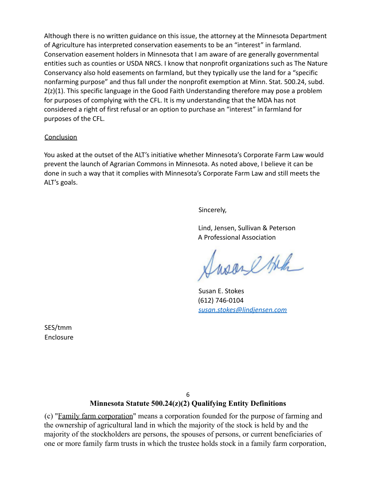Although there is no written guidance on this issue, the attorney at the Minnesota Department of Agriculture has interpreted conservation easements to be an "interest" in farmland. Conservation easement holders in Minnesota that I am aware of are generally governmental entities such as counties or USDA NRCS. I know that nonprofit organizations such as The Nature Conservancy also hold easements on farmland, but they typically use the land for a "specific nonfarming purpose" and thus fall under the nonprofit exemption at Minn. Stat. 500.24, subd. 2(z)(1). This specific language in the Good Faith Understanding therefore may pose a problem for purposes of complying with the CFL. It is my understanding that the MDA has not considered a right of first refusal or an option to purchase an "interest" in farmland for purposes of the CFL.

#### Conclusion

You asked at the outset of the ALT's initiative whether Minnesota's Corporate Farm Law would prevent the launch of Agrarian Commons in Minnesota. As noted above, I believe it can be done in such a way that it complies with Minnesota's Corporate Farm Law and still meets the ALT's goals.

Sincerely,

Lind, Jensen, Sullivan & Peterson A Professional Association

Susane Hele

Susan E. Stokes (612) 746-0104 *susan.stokes@lindjensen.com*

SES/tmm Enclosure

#### 6 **Minnesota Statute 500.24(z)(2) Qualifying Entity Definitions**

(c) "Family farm corporation" means a corporation founded for the purpose of farming and the ownership of agricultural land in which the majority of the stock is held by and the majority of the stockholders are persons, the spouses of persons, or current beneficiaries of one or more family farm trusts in which the trustee holds stock in a family farm corporation,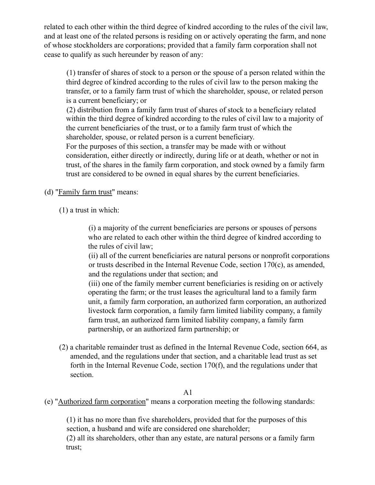related to each other within the third degree of kindred according to the rules of the civil law, and at least one of the related persons is residing on or actively operating the farm, and none of whose stockholders are corporations; provided that a family farm corporation shall not cease to qualify as such hereunder by reason of any:

(1) transfer of shares of stock to a person or the spouse of a person related within the third degree of kindred according to the rules of civil law to the person making the transfer, or to a family farm trust of which the shareholder, spouse, or related person is a current beneficiary; or

(2) distribution from a family farm trust of shares of stock to a beneficiary related within the third degree of kindred according to the rules of civil law to a majority of the current beneficiaries of the trust, or to a family farm trust of which the shareholder, spouse, or related person is a current beneficiary.

For the purposes of this section, a transfer may be made with or without consideration, either directly or indirectly, during life or at death, whether or not in trust, of the shares in the family farm corporation, and stock owned by a family farm trust are considered to be owned in equal shares by the current beneficiaries.

# (d) "Family farm trust" means:

(1) a trust in which:

(i) a majority of the current beneficiaries are persons or spouses of persons who are related to each other within the third degree of kindred according to the rules of civil law;

(ii) all of the current beneficiaries are natural persons or nonprofit corporations or trusts described in the Internal Revenue Code, section 170(c), as amended, and the regulations under that section; and

(iii) one of the family member current beneficiaries is residing on or actively operating the farm; or the trust leases the agricultural land to a family farm unit, a family farm corporation, an authorized farm corporation, an authorized livestock farm corporation, a family farm limited liability company, a family farm trust, an authorized farm limited liability company, a family farm partnership, or an authorized farm partnership; or

(2) a charitable remainder trust as defined in the Internal Revenue Code, section 664, as amended, and the regulations under that section, and a charitable lead trust as set forth in the Internal Revenue Code, section 170(f), and the regulations under that section.

#### A1

(e) "Authorized farm corporation" means a corporation meeting the following standards:

(1) it has no more than five shareholders, provided that for the purposes of this section, a husband and wife are considered one shareholder;

(2) all its shareholders, other than any estate, are natural persons or a family farm trust;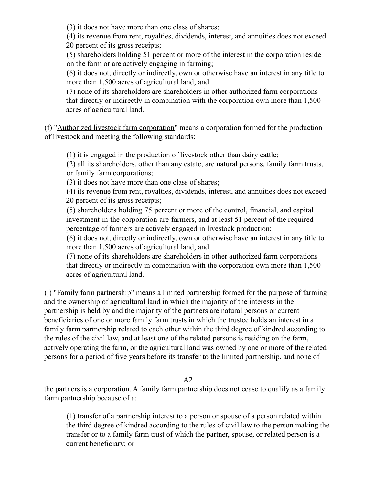(3) it does not have more than one class of shares;

(4) its revenue from rent, royalties, dividends, interest, and annuities does not exceed 20 percent of its gross receipts;

(5) shareholders holding 51 percent or more of the interest in the corporation reside on the farm or are actively engaging in farming;

(6) it does not, directly or indirectly, own or otherwise have an interest in any title to more than 1,500 acres of agricultural land; and

(7) none of its shareholders are shareholders in other authorized farm corporations that directly or indirectly in combination with the corporation own more than 1,500 acres of agricultural land.

(f) "Authorized livestock farm corporation" means a corporation formed for the production of livestock and meeting the following standards:

(1) it is engaged in the production of livestock other than dairy cattle;

(2) all its shareholders, other than any estate, are natural persons, family farm trusts, or family farm corporations;

(3) it does not have more than one class of shares;

(4) its revenue from rent, royalties, dividends, interest, and annuities does not exceed 20 percent of its gross receipts;

(5) shareholders holding 75 percent or more of the control, financial, and capital investment in the corporation are farmers, and at least 51 percent of the required percentage of farmers are actively engaged in livestock production;

(6) it does not, directly or indirectly, own or otherwise have an interest in any title to more than 1,500 acres of agricultural land; and

(7) none of its shareholders are shareholders in other authorized farm corporations that directly or indirectly in combination with the corporation own more than 1,500 acres of agricultural land.

(j) "Family farm partnership" means a limited partnership formed for the purpose of farming and the ownership of agricultural land in which the majority of the interests in the partnership is held by and the majority of the partners are natural persons or current beneficiaries of one or more family farm trusts in which the trustee holds an interest in a family farm partnership related to each other within the third degree of kindred according to the rules of the civil law, and at least one of the related persons is residing on the farm, actively operating the farm, or the agricultural land was owned by one or more of the related persons for a period of five years before its transfer to the limited partnership, and none of

# $A<sub>2</sub>$

the partners is a corporation. A family farm partnership does not cease to qualify as a family farm partnership because of a:

(1) transfer of a partnership interest to a person or spouse of a person related within the third degree of kindred according to the rules of civil law to the person making the transfer or to a family farm trust of which the partner, spouse, or related person is a current beneficiary; or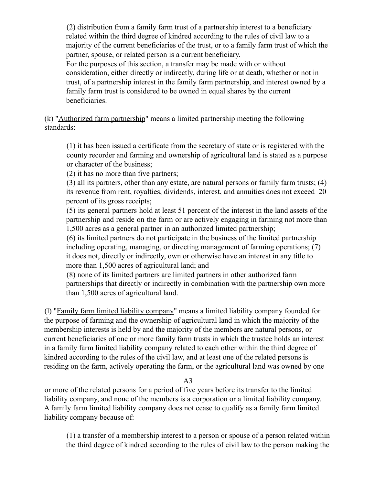(2) distribution from a family farm trust of a partnership interest to a beneficiary related within the third degree of kindred according to the rules of civil law to a majority of the current beneficiaries of the trust, or to a family farm trust of which the partner, spouse, or related person is a current beneficiary.

For the purposes of this section, a transfer may be made with or without consideration, either directly or indirectly, during life or at death, whether or not in trust, of a partnership interest in the family farm partnership, and interest owned by a family farm trust is considered to be owned in equal shares by the current beneficiaries.

(k) "Authorized farm partnership" means a limited partnership meeting the following standards:

(1) it has been issued a certificate from the secretary of state or is registered with the county recorder and farming and ownership of agricultural land is stated as a purpose or character of the business;

(2) it has no more than five partners;

(3) all its partners, other than any estate, are natural persons or family farm trusts; (4) its revenue from rent, royalties, dividends, interest, and annuities does not exceed 20 percent of its gross receipts;

(5) its general partners hold at least 51 percent of the interest in the land assets of the partnership and reside on the farm or are actively engaging in farming not more than 1,500 acres as a general partner in an authorized limited partnership;

(6) its limited partners do not participate in the business of the limited partnership including operating, managing, or directing management of farming operations; (7) it does not, directly or indirectly, own or otherwise have an interest in any title to more than 1,500 acres of agricultural land; and

(8) none of its limited partners are limited partners in other authorized farm partnerships that directly or indirectly in combination with the partnership own more than 1,500 acres of agricultural land.

(l) "Family farm limited liability company" means a limited liability company founded for the purpose of farming and the ownership of agricultural land in which the majority of the membership interests is held by and the majority of the members are natural persons, or current beneficiaries of one or more family farm trusts in which the trustee holds an interest in a family farm limited liability company related to each other within the third degree of kindred according to the rules of the civil law, and at least one of the related persons is residing on the farm, actively operating the farm, or the agricultural land was owned by one

A3

or more of the related persons for a period of five years before its transfer to the limited liability company, and none of the members is a corporation or a limited liability company. A family farm limited liability company does not cease to qualify as a family farm limited liability company because of:

(1) a transfer of a membership interest to a person or spouse of a person related within the third degree of kindred according to the rules of civil law to the person making the